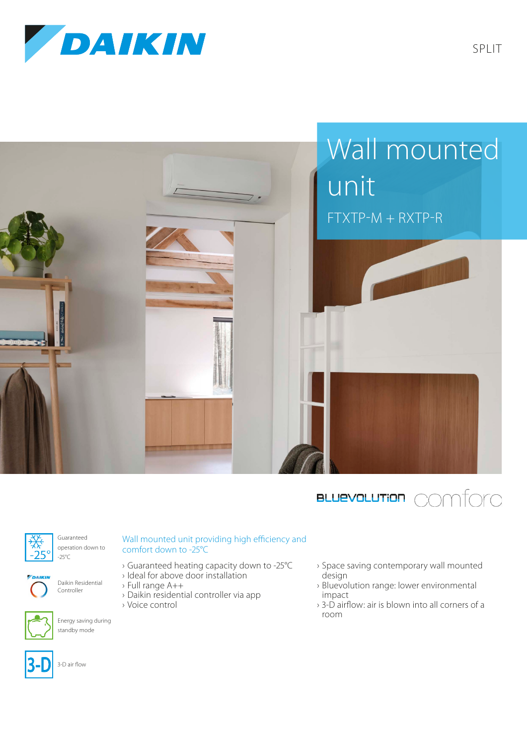







Guaranteed



operation down to -25°C







Energy saving during standby mode

## Wall mounted unit providing high efficiency and comfort down to -25°C

- › Guaranteed heating capacity down to -25°C
- › Ideal for above door installation
- › Full range A++
- › Daikin residential controller via app
- › Voice control
- › Space saving contemporary wall mounted design
- › Bluevolution range: lower environmental impact
- › 3-D airflow: air is blown into all corners of a room



3-D air flow